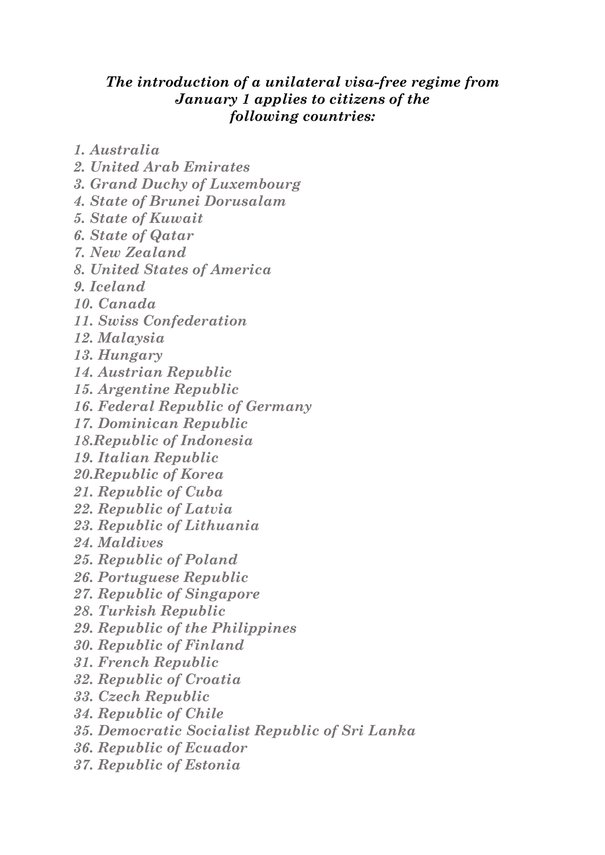## *The introduction of a unilateral visa-free regime from January 1 applies to citizens of the following countries:*

*1. Australia*

- *2. United Arab Emirates*
- *3. Grand Duchy of Luxembourg*
- *4. State of Brunei Dorusalam*
- *5. State of Kuwait*
- *6. State of Qatar*
- *7. New Zealand*
- *8. United States of America*
- *9. Iceland*
- *10. Canada*
- *11. Swiss Confederation*
- *12. Malaysia*
- *13. Hungary*
- *14. Austrian Republic*
- *15. Argentine Republic*
- *16. Federal Republic of Germany*
- *17. Dominican Republic*
- *18.Republic of Indonesia*
- *19. Italian Republic*
- *20.Republic of Korea*
- *21. Republic of Cuba*
- *22. Republic of Latvia*
- *23. Republic of Lithuania*
- *24. Maldives*
- *25. Republic of Poland*
- *26. Portuguese Republic*
- *27. Republic of Singapore*
- *28. Turkish Republic*
- *29. Republic of the Philippines*
- *30. Republic of Finland*
- *31. French Republic*
- *32. Republic of Croatia*
- *33. Czech Republic*
- *34. Republic of Chile*
- *35. Democratic Socialist Republic of Sri Lanka*
- *36. Republic of Ecuador*
- *37. Republic of Estonia*